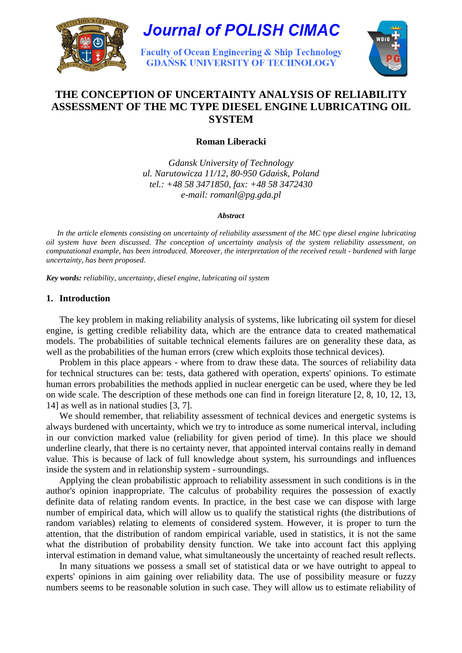

# **Journal of POLISH CIMAC**

**Faculty of Ocean Engineering & Ship Technology GDANSK UNIVERSITY OF TECHNOLOGY** 



# **THE CONCEPTION OF UNCERTAINTY ANALYSIS OF RELIABILITY ASSESSMENT OF THE MC TYPE DIESEL ENGINE LUBRICATING OIL SYSTEM**

**Roman Liberacki** 

*Gdansk University of Technology ul. Narutowicza 11/12, 80-950 Gda*ń*sk, Poland tel.: +48 58 3471850, fax: +48 58 3472430 e-mail: romanl@pg.gda.pl* 

*Abstract* 

*In the article elements consisting on uncertainty of reliability assessment of the MC type diesel engine lubricating oil system have been discussed. The conception of uncertainty analysis of the system reliability assessment, on computational example, has been introduced. Moreover, the interpretation of the received result - burdened with large uncertainty, has been proposed.* 

*Key words: reliability, uncertainty, diesel engine, lubricating oil system* 

## **1. Introduction**

The key problem in making reliability analysis of systems, like lubricating oil system for diesel engine, is getting credible reliability data, which are the entrance data to created mathematical models. The probabilities of suitable technical elements failures are on generality these data, as well as the probabilities of the human errors (crew which exploits those technical devices).

 Problem in this place appears - where from to draw these data. The sources of reliability data for technical structures can be: tests, data gathered with operation, experts' opinions. To estimate human errors probabilities the methods applied in nuclear energetic can be used, where they be led on wide scale. The description of these methods one can find in foreign literature [2, 8, 10, 12, 13, 14] as well as in national studies [3, 7].

 We should remember, that reliability assessment of technical devices and energetic systems is always burdened with uncertainty, which we try to introduce as some numerical interval, including in our conviction marked value (reliability for given period of time). In this place we should underline clearly, that there is no certainty never, that appointed interval contains really in demand value. This is because of lack of full knowledge about system, his surroundings and influences inside the system and in relationship system - surroundings.

Applying the clean probabilistic approach to reliability assessment in such conditions is in the author's opinion inappropriate. The calculus of probability requires the possession of exactly definite data of relating random events. In practice, in the best case we can dispose with large number of empirical data, which will allow us to qualify the statistical rights (the distributions of random variables) relating to elements of considered system. However, it is proper to turn the attention, that the distribution of random empirical variable, used in statistics, it is not the same what the distribution of probability density function. We take into account fact this applying interval estimation in demand value, what simultaneously the uncertainty of reached result reflects.

In many situations we possess a small set of statistical data or we have outright to appeal to experts' opinions in aim gaining over reliability data. The use of possibility measure or fuzzy numbers seems to be reasonable solution in such case. They will allow us to estimate reliability of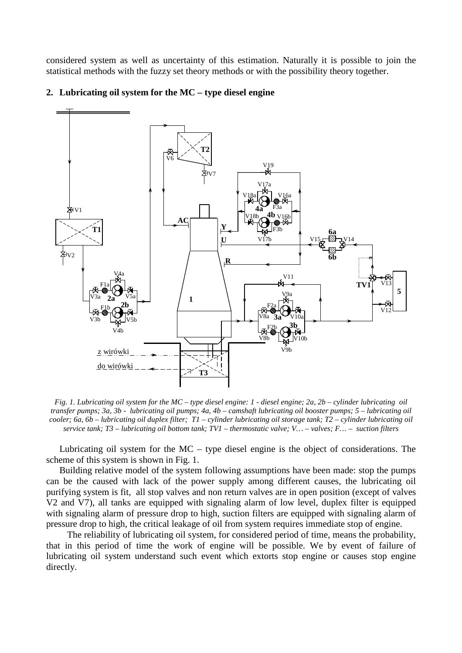considered system as well as uncertainty of this estimation. Naturally it is possible to join the statistical methods with the fuzzy set theory methods or with the possibility theory together.



#### **2. Lubricating oil system for the MC – type diesel engine**

*Fig. 1. Lubricating oil system for the MC – type diesel engine: 1 - diesel engine; 2a, 2b – cylinder lubricating oil transfer pumps; 3a, 3b - lubricating oil pumps; 4a, 4b – camshaft lubricating oil booster pumps; 5 – lubricating oil cooler; 6a, 6b – lubricating oil duplex filter; T1 – cylinder lubricating oil storage tank; T2 – cylinder lubricating oil service tank; T3 – lubricating oil bottom tank; TV1 – thermostatic valve; V… – valves; F… – suction filters*

Lubricating oil system for the MC – type diesel engine is the object of considerations. The scheme of this system is shown in Fig. 1.

Building relative model of the system following assumptions have been made: stop the pumps can be the caused with lack of the power supply among different causes, the lubricating oil purifying system is fit, all stop valves and non return valves are in open position (except of valves V2 and V7), all tanks are equipped with signaling alarm of low level, duplex filter is equipped with signaling alarm of pressure drop to high, suction filters are equipped with signaling alarm of pressure drop to high, the critical leakage of oil from system requires immediate stop of engine.

 The reliability of lubricating oil system, for considered period of time, means the probability, that in this period of time the work of engine will be possible. We by event of failure of lubricating oil system understand such event which extorts stop engine or causes stop engine directly.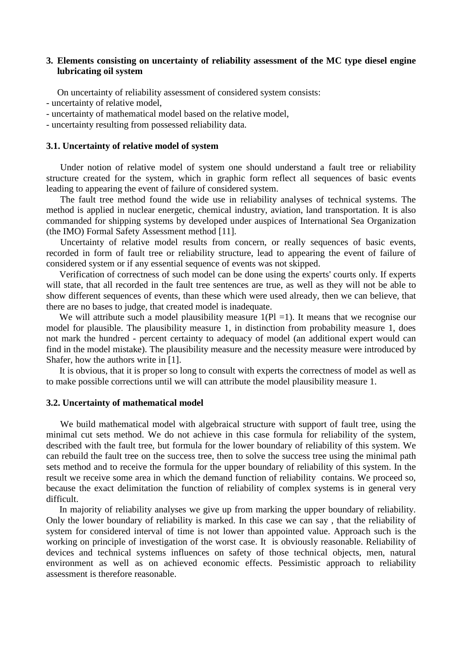## **3. Elements consisting on uncertainty of reliability assessment of the MC type diesel engine lubricating oil system**

On uncertainty of reliability assessment of considered system consists:

- uncertainty of relative model,

- uncertainty of mathematical model based on the relative model,

- uncertainty resulting from possessed reliability data.

#### **3.1. Uncertainty of relative model of system**

 Under notion of relative model of system one should understand a fault tree or reliability structure created for the system, which in graphic form reflect all sequences of basic events leading to appearing the event of failure of considered system.

 The fault tree method found the wide use in reliability analyses of technical systems. The method is applied in nuclear energetic, chemical industry, aviation, land transportation. It is also commanded for shipping systems by developed under auspices of International Sea Organization (the IMO) Formal Safety Assessment method [11].

 Uncertainty of relative model results from concern, or really sequences of basic events, recorded in form of fault tree or reliability structure, lead to appearing the event of failure of considered system or if any essential sequence of events was not skipped.

Verification of correctness of such model can be done using the experts' courts only. If experts will state, that all recorded in the fault tree sentences are true, as well as they will not be able to show different sequences of events, than these which were used already, then we can believe, that there are no bases to judge, that created model is inadequate.

We will attribute such a model plausibility measure  $1(PI = 1)$ . It means that we recognise our model for plausible. The plausibility measure 1, in distinction from probability measure 1, does not mark the hundred - percent certainty to adequacy of model (an additional expert would can find in the model mistake). The plausibility measure and the necessity measure were introduced by Shafer, how the authors write in [1].

It is obvious, that it is proper so long to consult with experts the correctness of model as well as to make possible corrections until we will can attribute the model plausibility measure 1.

#### **3.2. Uncertainty of mathematical model**

 We build mathematical model with algebraical structure with support of fault tree, using the minimal cut sets method. We do not achieve in this case formula for reliability of the system, described with the fault tree, but formula for the lower boundary of reliability of this system. We can rebuild the fault tree on the success tree, then to solve the success tree using the minimal path sets method and to receive the formula for the upper boundary of reliability of this system. In the result we receive some area in which the demand function of reliability contains. We proceed so, because the exact delimitation the function of reliability of complex systems is in general very difficult.

 In majority of reliability analyses we give up from marking the upper boundary of reliability. Only the lower boundary of reliability is marked. In this case we can say , that the reliability of system for considered interval of time is not lower than appointed value. Approach such is the working on principle of investigation of the worst case. It is obviously reasonable. Reliability of devices and technical systems influences on safety of those technical objects, men, natural environment as well as on achieved economic effects. Pessimistic approach to reliability assessment is therefore reasonable.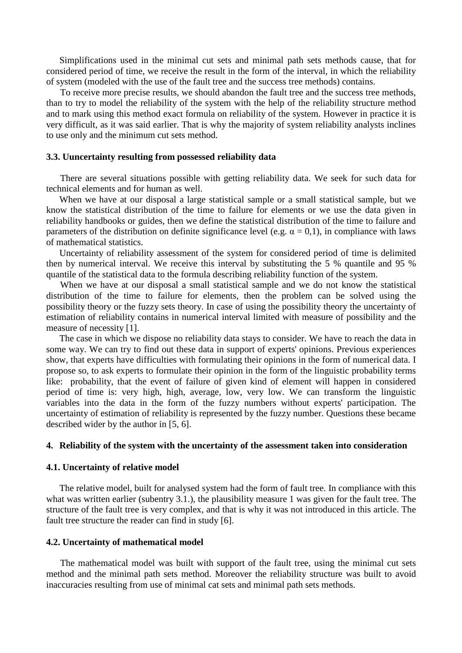Simplifications used in the minimal cut sets and minimal path sets methods cause, that for considered period of time, we receive the result in the form of the interval, in which the reliability of system (modeled with the use of the fault tree and the success tree methods) contains.

 To receive more precise results, we should abandon the fault tree and the success tree methods, than to try to model the reliability of the system with the help of the reliability structure method and to mark using this method exact formula on reliability of the system. However in practice it is very difficult, as it was said earlier. That is why the majority of system reliability analysts inclines to use only and the minimum cut sets method.

#### **3.3. Uuncertainty resulting from possessed reliability data**

 There are several situations possible with getting reliability data. We seek for such data for technical elements and for human as well.

When we have at our disposal a large statistical sample or a small statistical sample, but we know the statistical distribution of the time to failure for elements or we use the data given in reliability handbooks or guides, then we define the statistical distribution of the time to failure and parameters of the distribution on definite significance level (e.g.  $\alpha = 0,1$ ), in compliance with laws of mathematical statistics.

Uncertainty of reliability assessment of the system for considered period of time is delimited then by numerical interval. We receive this interval by substituting the 5 % quantile and 95 % quantile of the statistical data to the formula describing reliability function of the system.

 When we have at our disposal a small statistical sample and we do not know the statistical distribution of the time to failure for elements, then the problem can be solved using the possibility theory or the fuzzy sets theory. In case of using the possibility theory the uncertainty of estimation of reliability contains in numerical interval limited with measure of possibility and the measure of necessity [1].

 The case in which we dispose no reliability data stays to consider. We have to reach the data in some way. We can try to find out these data in support of experts' opinions. Previous experiences show, that experts have difficulties with formulating their opinions in the form of numerical data. I propose so, to ask experts to formulate their opinion in the form of the linguistic probability terms like: probability, that the event of failure of given kind of element will happen in considered period of time is: very high, high, average, low, very low. We can transform the linguistic variables into the data in the form of the fuzzy numbers without experts' participation. The uncertainty of estimation of reliability is represented by the fuzzy number. Questions these became described wider by the author in [5, 6].

#### **4. Reliability of the system with the uncertainty of the assessment taken into consideration**

#### **4.1. Uncertainty of relative model**

The relative model, built for analysed system had the form of fault tree. In compliance with this what was written earlier (subentry 3.1.), the plausibility measure 1 was given for the fault tree. The structure of the fault tree is very complex, and that is why it was not introduced in this article. The fault tree structure the reader can find in study [6].

#### **4.2. Uncertainty of mathematical model**

 The mathematical model was built with support of the fault tree, using the minimal cut sets method and the minimal path sets method. Moreover the reliability structure was built to avoid inaccuracies resulting from use of minimal cat sets and minimal path sets methods.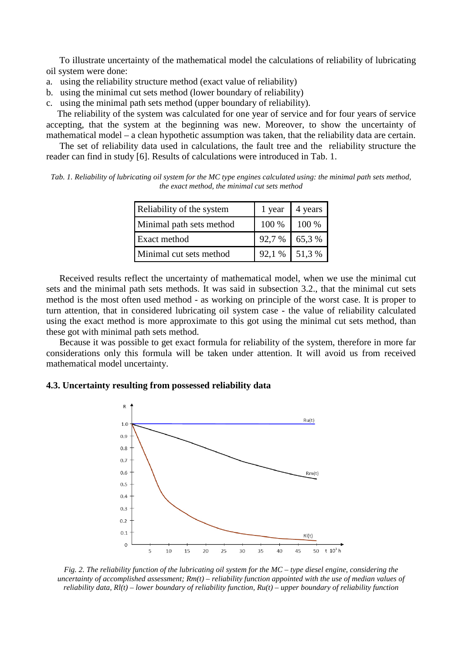To illustrate uncertainty of the mathematical model the calculations of reliability of lubricating oil system were done:

- a. using the reliability structure method (exact value of reliability)
- b. using the minimal cut sets method (lower boundary of reliability)
- c. using the minimal path sets method (upper boundary of reliability).

The reliability of the system was calculated for one year of service and for four years of service accepting, that the system at the beginning was new. Moreover, to show the uncertainty of mathematical model – a clean hypothetic assumption was taken, that the reliability data are certain.

 The set of reliability data used in calculations, the fault tree and the reliability structure the reader can find in study [6]. Results of calculations were introduced in Tab. 1.

*Tab. 1. Reliability of lubricating oil system for the MC type engines calculated using: the minimal path sets method, the exact method, the minimal cut sets method* 

| Reliability of the system |                | 1 year $\vert$ 4 years |
|---------------------------|----------------|------------------------|
| Minimal path sets method  | 100 % 100 %    |                        |
| <b>Exact method</b>       | $92,7\%$ 65,3% |                        |
| Minimal cut sets method   | $92,1\%$ 51,3% |                        |

Received results reflect the uncertainty of mathematical model, when we use the minimal cut sets and the minimal path sets methods. It was said in subsection 3.2., that the minimal cut sets method is the most often used method - as working on principle of the worst case. It is proper to turn attention, that in considered lubricating oil system case - the value of reliability calculated using the exact method is more approximate to this got using the minimal cut sets method, than these got with minimal path sets method.

Because it was possible to get exact formula for reliability of the system, therefore in more far considerations only this formula will be taken under attention. It will avoid us from received mathematical model uncertainty.

#### **4.3. Uncertainty resulting from possessed reliability data**



*Fig. 2. The reliability function of the lubricating oil system for the MC – type diesel engine, considering the uncertainty of accomplished assessment; Rm(t) – reliability function appointed with the use of median values of reliability data, Rl(t) – lower boundary of reliability function, Ru(t) – upper boundary of reliability function*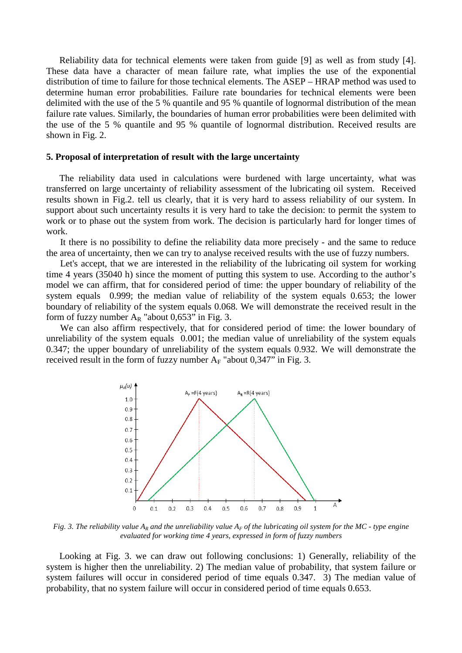Reliability data for technical elements were taken from guide [9] as well as from study [4]. These data have a character of mean failure rate, what implies the use of the exponential distribution of time to failure for those technical elements. The ASEP – HRAP method was used to determine human error probabilities. Failure rate boundaries for technical elements were been delimited with the use of the 5 % quantile and 95 % quantile of lognormal distribution of the mean failure rate values. Similarly, the boundaries of human error probabilities were been delimited with the use of the 5 % quantile and 95 % quantile of lognormal distribution. Received results are shown in Fig. 2.

#### **5. Proposal of interpretation of result with the large uncertainty**

 The reliability data used in calculations were burdened with large uncertainty, what was transferred on large uncertainty of reliability assessment of the lubricating oil system. Received results shown in Fig.2. tell us clearly, that it is very hard to assess reliability of our system. In support about such uncertainty results it is very hard to take the decision: to permit the system to work or to phase out the system from work. The decision is particularly hard for longer times of work.

 It there is no possibility to define the reliability data more precisely - and the same to reduce the area of uncertainty, then we can try to analyse received results with the use of fuzzy numbers.

 Let's accept, that we are interested in the reliability of the lubricating oil system for working time 4 years (35040 h) since the moment of putting this system to use. According to the author's model we can affirm, that for considered period of time: the upper boundary of reliability of the system equals 0.999; the median value of reliability of the system equals 0.653; the lower boundary of reliability of the system equals 0.068. We will demonstrate the received result in the form of fuzzy number  $A_R$  "about 0,653" in Fig. 3.

 We can also affirm respectively, that for considered period of time: the lower boundary of unreliability of the system equals 0.001; the median value of unreliability of the system equals 0.347; the upper boundary of unreliability of the system equals 0.932. We will demonstrate the received result in the form of fuzzy number  $A_F$  "about 0,347" in Fig. 3.



*Fig. 3. The reliability value*  $A_R$  *and the unreliability value*  $A_F$  *of the lubricating oil system for the MC - type engine evaluated for working time 4 years, expressed in form of fuzzy numbers* 

Looking at Fig. 3. we can draw out following conclusions: 1) Generally, reliability of the system is higher then the unreliability. 2) The median value of probability, that system failure or system failures will occur in considered period of time equals 0.347. 3) The median value of probability, that no system failure will occur in considered period of time equals 0.653.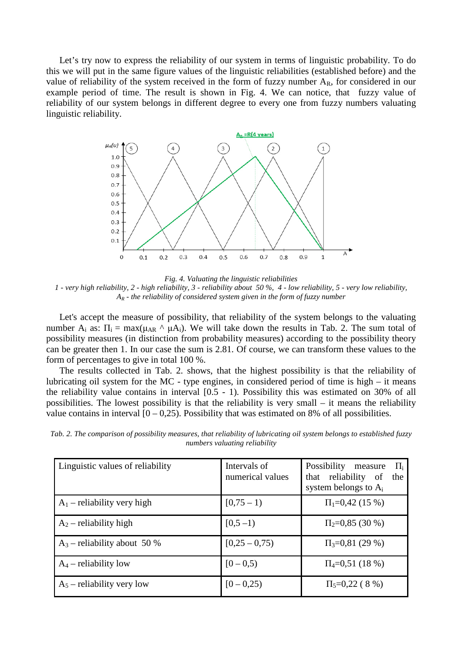Let's try now to express the reliability of our system in terms of linguistic probability. To do this we will put in the same figure values of the linguistic reliabilities (established before) and the value of reliability of the system received in the form of fuzzy number  $A_R$ , for considered in our example period of time. The result is shown in Fig. 4. We can notice, that fuzzy value of reliability of our system belongs in different degree to every one from fuzzy numbers valuating linguistic reliability.



*Fig. 4. Valuating the linguistic reliabilities 1 - very high reliability, 2 - high reliability, 3 - reliability about 50 %, 4 - low reliability, 5 - very low reliability, AR - the reliability of considered system given in the form of fuzzy number*

Let's accept the measure of possibility, that reliability of the system belongs to the valuating number  $A_i$  as:  $\Pi_i = \max(\mu_{AR} \wedge \mu A_i)$ . We will take down the results in Tab. 2. The sum total of possibility measures (in distinction from probability measures) according to the possibility theory can be greater then 1. In our case the sum is 2.81. Of course, we can transform these values to the form of percentages to give in total 100 %.

The results collected in Tab. 2. shows, that the highest possibility is that the reliability of lubricating oil system for the MC - type engines, in considered period of time is high – it means the reliability value contains in interval [0.5 - 1). Possibility this was estimated on 30% of all possibilities. The lowest possibility is that the reliability is very small – it means the reliability value contains in interval  $[0 - 0.25)$ . Possibility that was estimated on 8% of all possibilities.

*Tab. 2. The comparison of possibility measures, that reliability of lubricating oil system belongs to established fuzzy numbers valuating reliability* 

| Linguistic values of reliability | Intervals of<br>numerical values | Possibility measure<br>$\Pi_i$<br>that reliability of<br>the<br>system belongs to $A_i$ |
|----------------------------------|----------------------------------|-----------------------------------------------------------------------------------------|
| $A_1$ – reliability very high    | $[0, 75 - 1)$                    | $\Pi_1 = 0.42$ (15 %)                                                                   |
| $A_2$ – reliability high         | $[0,5-1)$                        | $\Pi_2=0.85(30\%)$                                                                      |
| $A_3$ – reliability about 50 %   | $[0,25 - 0,75)$                  | $\Pi_3 = 0.81(29\%)$                                                                    |
| $A_4$ – reliability low          | $[0 - 0.5)$                      | $\Pi_4 = 0.51(18\%)$                                                                    |
| $A_5$ – reliability very low     | $[0 - 0.25)$                     | $\Pi_{5}=0,22$ (8 %)                                                                    |